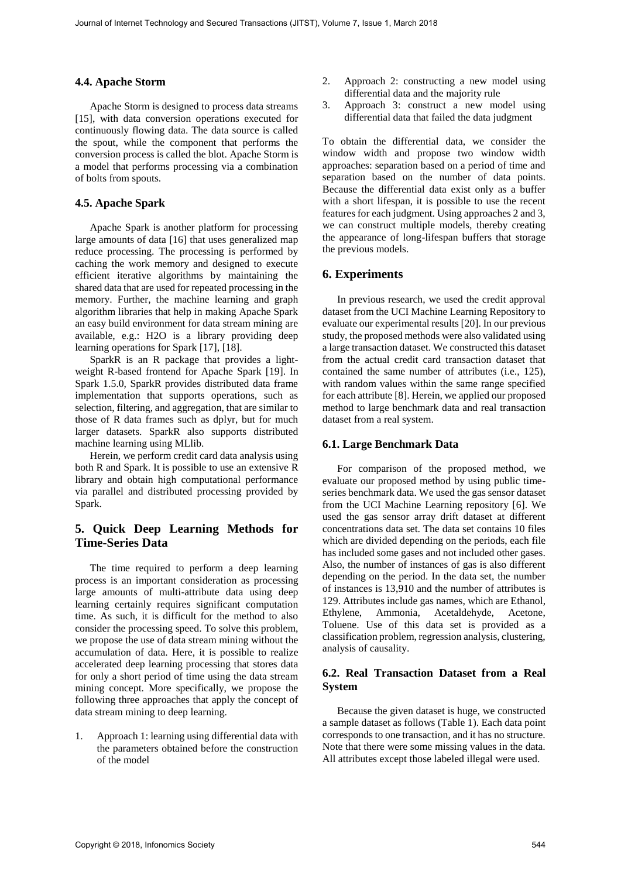#### **4.4. Apache Storm**

Apache Storm is designed to process data streams [15], with data conversion operations executed for continuously flowing data. The data source is called the spout, while the component that performs the conversion process is called the blot. Apache Storm is a model that performs processing via a combination of bolts from spouts.

#### **4.5. Apache Spark**

Apache Spark is another platform for processing large amounts of data [16] that uses generalized map reduce processing. The processing is performed by caching the work memory and designed to execute efficient iterative algorithms by maintaining the shared data that are used for repeated processing in the memory. Further, the machine learning and graph algorithm libraries that help in making Apache Spark an easy build environment for data stream mining are available, e.g.: H2O is a library providing deep learning operations for Spark [17], [18].

SparkR is an R package that provides a lightweight R-based frontend for Apache Spark [19]. In Spark 1.5.0, SparkR provides distributed data frame implementation that supports operations, such as selection, filtering, and aggregation, that are similar to those of R data frames such as dplyr, but for much larger datasets. SparkR also supports distributed machine learning using MLlib.

Herein, we perform credit card data analysis using both R and Spark. It is possible to use an extensive R library and obtain high computational performance via parallel and distributed processing provided by Spark.

# **5. Quick Deep Learning Methods for Time-Series Data**

The time required to perform a deep learning process is an important consideration as processing large amounts of multi-attribute data using deep learning certainly requires significant computation time. As such, it is difficult for the method to also consider the processing speed. To solve this problem, we propose the use of data stream mining without the accumulation of data. Here, it is possible to realize accelerated deep learning processing that stores data for only a short period of time using the data stream mining concept. More specifically, we propose the following three approaches that apply the concept of data stream mining to deep learning.

1. Approach 1: learning using differential data with the parameters obtained before the construction of the model

- 2. Approach 2: constructing a new model using differential data and the majority rule
- 3. Approach 3: construct a new model using differential data that failed the data judgment

To obtain the differential data, we consider the window width and propose two window width approaches: separation based on a period of time and separation based on the number of data points. Because the differential data exist only as a buffer with a short lifespan, it is possible to use the recent features for each judgment. Using approaches 2 and 3, we can construct multiple models, thereby creating the appearance of long-lifespan buffers that storage the previous models.

### **6. Experiments**

In previous research, we used the credit approval dataset from the UCI Machine Learning Repository to evaluate our experimental results [20]. In our previous study, the proposed methods were also validated using a large transaction dataset. We constructed this dataset from the actual credit card transaction dataset that contained the same number of attributes (i.e., 125), with random values within the same range specified for each attribute [8]. Herein, we applied our proposed method to large benchmark data and real transaction dataset from a real system.

#### **6.1. Large Benchmark Data**

For comparison of the proposed method, we evaluate our proposed method by using public timeseries benchmark data. We used the gas sensor dataset from the UCI Machine Learning repository [6]. We used the gas sensor array drift dataset at different concentrations data set. The data set contains 10 files which are divided depending on the periods, each file has included some gases and not included other gases. Also, the number of instances of gas is also different depending on the period. In the data set, the number of instances is 13,910 and the number of attributes is 129. Attributes include gas names, which are Ethanol, Ethylene, Ammonia, Acetaldehyde, Acetone, Toluene. Use of this data set is provided as a classification problem, regression analysis, clustering, analysis of causality. Journal of Fineractions (JITS) Notices (JITS) Notices (JITS) Notices (JITS) Notices (JITS) Approximate the Control of Internet Crisis (JITS) Notices (JITS), Notices (JITS), Notices (JITS), Notices (JITS), Notices (JITS),

#### **6.2. Real Transaction Dataset from a Real System**

Because the given dataset is huge, we constructed a sample dataset as follows (Table 1). Each data point corresponds to one transaction, and it has no structure. Note that there were some missing values in the data. All attributes except those labeled illegal were used.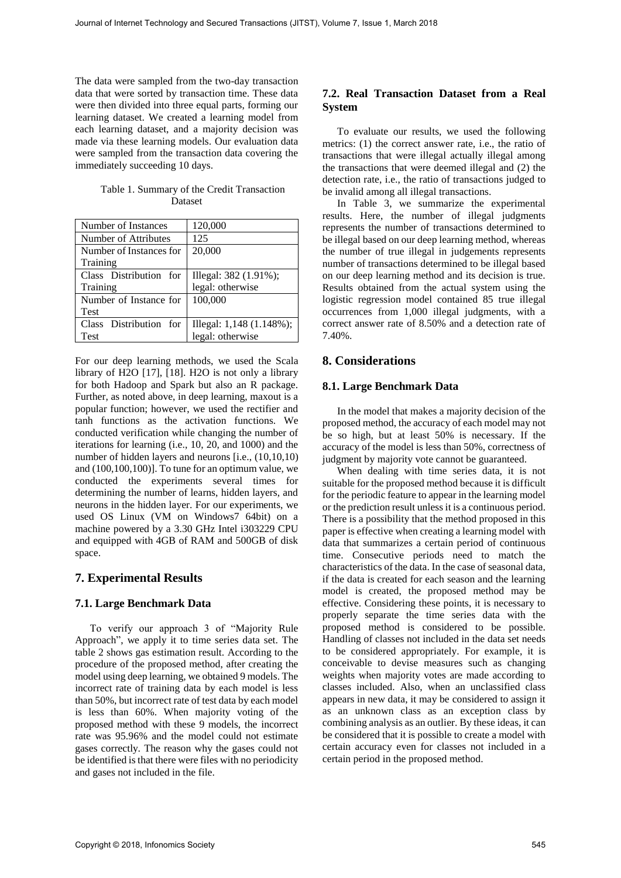The data were sampled from the two-day transaction data that were sorted by transaction time. These data were then divided into three equal parts, forming our learning dataset. We created a learning model from each learning dataset, and a majority decision was made via these learning models. Our evaluation data were sampled from the transaction data covering the immediately succeeding 10 days.

Table 1. Summary of the Credit Transaction Dataset

| Number of Instances     | 120,000                  |  |  |  |
|-------------------------|--------------------------|--|--|--|
| Number of Attributes    | 125                      |  |  |  |
| Number of Instances for | 20,000                   |  |  |  |
| Training                |                          |  |  |  |
| Class Distribution for  | Illegal: 382 (1.91%);    |  |  |  |
| Training                | legal: otherwise         |  |  |  |
| Number of Instance for  | 100,000                  |  |  |  |
| <b>Test</b>             |                          |  |  |  |
| Class Distribution for  | Illegal: 1,148 (1.148%); |  |  |  |
| Test                    | legal: otherwise         |  |  |  |

For our deep learning methods, we used the Scala library of H2O [17], [18]. H2O is not only a library for both Hadoop and Spark but also an R package. Further, as noted above, in deep learning, maxout is a popular function; however, we used the rectifier and tanh functions as the activation functions. We conducted verification while changing the number of iterations for learning (i.e., 10, 20, and 1000) and the number of hidden layers and neurons [i.e., (10,10,10) and (100,100,100)]. To tune for an optimum value, we conducted the experiments several times for determining the number of learns, hidden layers, and neurons in the hidden layer. For our experiments, we used OS Linux (VM on Windows7 64bit) on a machine powered by a 3.30 GHz Intel i303229 CPU and equipped with 4GB of RAM and 500GB of disk space.

# **7. Experimental Results**

# **7.1. Large Benchmark Data**

To verify our approach 3 of "Majority Rule Approach", we apply it to time series data set. The table 2 shows gas estimation result. According to the procedure of the proposed method, after creating the model using deep learning, we obtained 9 models. The incorrect rate of training data by each model is less than 50%, but incorrect rate of test data by each model is less than 60%. When majority voting of the proposed method with these 9 models, the incorrect rate was 95.96% and the model could not estimate gases correctly. The reason why the gases could not be identified is that there were files with no periodicity and gases not included in the file.

# **7.2. Real Transaction Dataset from a Real System**

To evaluate our results, we used the following metrics: (1) the correct answer rate, i.e., the ratio of transactions that were illegal actually illegal among the transactions that were deemed illegal and (2) the detection rate, i.e., the ratio of transactions judged to be invalid among all illegal transactions.

In Table 3, we summarize the experimental results. Here, the number of illegal judgments represents the number of transactions determined to be illegal based on our deep learning method, whereas the number of true illegal in judgements represents number of transactions determined to be illegal based on our deep learning method and its decision is true. Results obtained from the actual system using the logistic regression model contained 85 true illegal occurrences from 1,000 illegal judgments, with a correct answer rate of 8.50% and a detection rate of 7.40%.

### **8. Considerations**

#### **8.1. Large Benchmark Data**

In the model that makes a majority decision of the proposed method, the accuracy of each model may not be so high, but at least 50% is necessary. If the accuracy of the model is less than 50%, correctness of judgment by majority vote cannot be guaranteed.

When dealing with time series data, it is not suitable for the proposed method because it is difficult for the periodic feature to appear in the learning model or the prediction result unless it is a continuous period. There is a possibility that the method proposed in this paper is effective when creating a learning model with data that summarizes a certain period of continuous time. Consecutive periods need to match the characteristics of the data. In the case of seasonal data, if the data is created for each season and the learning model is created, the proposed method may be effective. Considering these points, it is necessary to properly separate the time series data with the proposed method is considered to be possible. Handling of classes not included in the data set needs to be considered appropriately. For example, it is conceivable to devise measures such as changing weights when majority votes are made according to classes included. Also, when an unclassified class appears in new data, it may be considered to assign it as an unknown class as an exception class by combining analysis as an outlier. By these ideas, it can be considered that it is possible to create a model with certain accuracy even for classes not included in a certain period in the proposed method. Just a then is entired to the secure through the secure of 100 years of 100 years of 100 years and the secure technology and the secure of Internet Transactions (JITST), Nearly Copyright Copyright Copyright Copyright Copy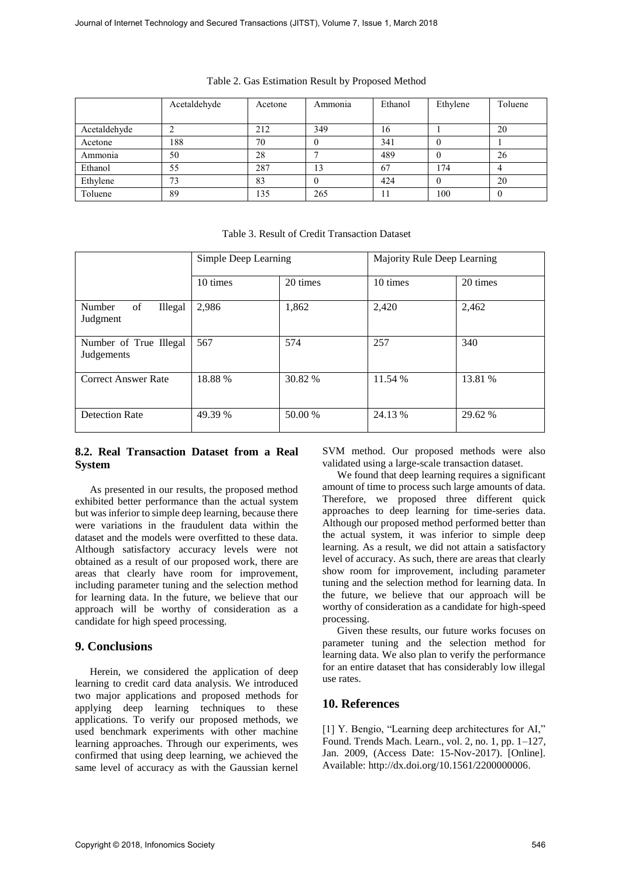|              | Acetaldehyde | Acetone | Ammonia  | Ethanol | Ethylene | Toluene |
|--------------|--------------|---------|----------|---------|----------|---------|
|              |              |         |          |         |          |         |
| Acetaldehyde |              | 212     | 349      | 16      |          | 20      |
| Acetone      | 188          | 70      | $\theta$ | 341     |          |         |
| Ammonia      | 50           | 28      |          | 489     | $\theta$ | 26      |
| Ethanol      | 55           | 287     | 13       | 67      | 174      |         |
| Ethylene     | 73           | 83      |          | 424     | $\theta$ | 20      |
| Toluene      | 89           | 135     | 265      |         | 100      |         |

Table 2. Gas Estimation Result by Proposed Method

|  |  |  | Table 3. Result of Credit Transaction Dataset |  |
|--|--|--|-----------------------------------------------|--|
|--|--|--|-----------------------------------------------|--|

|                                                                                                                                                                                                                                                                                                                                                                                                                                                                                                                                                                                                                                                                                                                                                                                                                                                                                                                                                                                                                                                                                                                                                                                                                       |                               |                      |           |          | Table 2. Gas Estimation Result by Proposed Method |                                                                                                        |                 |          |                                                                                                                                                                                                                                                                                                                                                                                                                                                                                                                                                                                                                                                                                                                                                                                                                                                                                                                                                                                                                                                                                                                        |
|-----------------------------------------------------------------------------------------------------------------------------------------------------------------------------------------------------------------------------------------------------------------------------------------------------------------------------------------------------------------------------------------------------------------------------------------------------------------------------------------------------------------------------------------------------------------------------------------------------------------------------------------------------------------------------------------------------------------------------------------------------------------------------------------------------------------------------------------------------------------------------------------------------------------------------------------------------------------------------------------------------------------------------------------------------------------------------------------------------------------------------------------------------------------------------------------------------------------------|-------------------------------|----------------------|-----------|----------|---------------------------------------------------|--------------------------------------------------------------------------------------------------------|-----------------|----------|------------------------------------------------------------------------------------------------------------------------------------------------------------------------------------------------------------------------------------------------------------------------------------------------------------------------------------------------------------------------------------------------------------------------------------------------------------------------------------------------------------------------------------------------------------------------------------------------------------------------------------------------------------------------------------------------------------------------------------------------------------------------------------------------------------------------------------------------------------------------------------------------------------------------------------------------------------------------------------------------------------------------------------------------------------------------------------------------------------------------|
|                                                                                                                                                                                                                                                                                                                                                                                                                                                                                                                                                                                                                                                                                                                                                                                                                                                                                                                                                                                                                                                                                                                                                                                                                       |                               | Acetaldehyde         | Acetone   |          | Ammonia                                           | Ethanol                                                                                                | Ethylene        |          | Toluene                                                                                                                                                                                                                                                                                                                                                                                                                                                                                                                                                                                                                                                                                                                                                                                                                                                                                                                                                                                                                                                                                                                |
| Acetaldehyde                                                                                                                                                                                                                                                                                                                                                                                                                                                                                                                                                                                                                                                                                                                                                                                                                                                                                                                                                                                                                                                                                                                                                                                                          | 2                             |                      | 212       |          | 349                                               | 16                                                                                                     | 1               |          | 20                                                                                                                                                                                                                                                                                                                                                                                                                                                                                                                                                                                                                                                                                                                                                                                                                                                                                                                                                                                                                                                                                                                     |
| Acetone                                                                                                                                                                                                                                                                                                                                                                                                                                                                                                                                                                                                                                                                                                                                                                                                                                                                                                                                                                                                                                                                                                                                                                                                               | 188                           |                      | 70        |          | $\boldsymbol{0}$                                  | 341                                                                                                    | $\theta$        |          | 1                                                                                                                                                                                                                                                                                                                                                                                                                                                                                                                                                                                                                                                                                                                                                                                                                                                                                                                                                                                                                                                                                                                      |
| Ammonia                                                                                                                                                                                                                                                                                                                                                                                                                                                                                                                                                                                                                                                                                                                                                                                                                                                                                                                                                                                                                                                                                                                                                                                                               | 50                            |                      | 28        |          | $\overline{7}$                                    | 489                                                                                                    | $\Omega$        |          | 26                                                                                                                                                                                                                                                                                                                                                                                                                                                                                                                                                                                                                                                                                                                                                                                                                                                                                                                                                                                                                                                                                                                     |
| Ethanol                                                                                                                                                                                                                                                                                                                                                                                                                                                                                                                                                                                                                                                                                                                                                                                                                                                                                                                                                                                                                                                                                                                                                                                                               | 55                            |                      | 287       |          | 13                                                | 67<br>174                                                                                              |                 |          | $\overline{4}$                                                                                                                                                                                                                                                                                                                                                                                                                                                                                                                                                                                                                                                                                                                                                                                                                                                                                                                                                                                                                                                                                                         |
| Ethylene<br>Toluene                                                                                                                                                                                                                                                                                                                                                                                                                                                                                                                                                                                                                                                                                                                                                                                                                                                                                                                                                                                                                                                                                                                                                                                                   | 73<br>89                      |                      | 83<br>135 |          | $\mathbf{0}$<br>265                               | 424<br>11                                                                                              | $\Omega$<br>100 |          | 20<br>$\mathbf{0}$                                                                                                                                                                                                                                                                                                                                                                                                                                                                                                                                                                                                                                                                                                                                                                                                                                                                                                                                                                                                                                                                                                     |
|                                                                                                                                                                                                                                                                                                                                                                                                                                                                                                                                                                                                                                                                                                                                                                                                                                                                                                                                                                                                                                                                                                                                                                                                                       |                               |                      |           |          | Table 3. Result of Credit Transaction Dataset     |                                                                                                        |                 |          |                                                                                                                                                                                                                                                                                                                                                                                                                                                                                                                                                                                                                                                                                                                                                                                                                                                                                                                                                                                                                                                                                                                        |
|                                                                                                                                                                                                                                                                                                                                                                                                                                                                                                                                                                                                                                                                                                                                                                                                                                                                                                                                                                                                                                                                                                                                                                                                                       |                               | Simple Deep Learning |           |          |                                                   | Majority Rule Deep Learning                                                                            |                 |          |                                                                                                                                                                                                                                                                                                                                                                                                                                                                                                                                                                                                                                                                                                                                                                                                                                                                                                                                                                                                                                                                                                                        |
|                                                                                                                                                                                                                                                                                                                                                                                                                                                                                                                                                                                                                                                                                                                                                                                                                                                                                                                                                                                                                                                                                                                                                                                                                       |                               | 10 times             |           | 20 times |                                                   | 10 times                                                                                               |                 | 20 times |                                                                                                                                                                                                                                                                                                                                                                                                                                                                                                                                                                                                                                                                                                                                                                                                                                                                                                                                                                                                                                                                                                                        |
| Number<br>of<br>Judgment                                                                                                                                                                                                                                                                                                                                                                                                                                                                                                                                                                                                                                                                                                                                                                                                                                                                                                                                                                                                                                                                                                                                                                                              | Illegal                       | 2,986                |           | 1,862    |                                                   | 2,420                                                                                                  | 2,462           |          |                                                                                                                                                                                                                                                                                                                                                                                                                                                                                                                                                                                                                                                                                                                                                                                                                                                                                                                                                                                                                                                                                                                        |
| Judgements                                                                                                                                                                                                                                                                                                                                                                                                                                                                                                                                                                                                                                                                                                                                                                                                                                                                                                                                                                                                                                                                                                                                                                                                            | Number of True Illegal<br>567 |                      |           | 574      |                                                   | 257                                                                                                    | 340             |          |                                                                                                                                                                                                                                                                                                                                                                                                                                                                                                                                                                                                                                                                                                                                                                                                                                                                                                                                                                                                                                                                                                                        |
| 18.88%<br><b>Correct Answer Rate</b>                                                                                                                                                                                                                                                                                                                                                                                                                                                                                                                                                                                                                                                                                                                                                                                                                                                                                                                                                                                                                                                                                                                                                                                  |                               |                      | 30.82 %   |          | 11.54 %                                           |                                                                                                        | 13.81 %         |          |                                                                                                                                                                                                                                                                                                                                                                                                                                                                                                                                                                                                                                                                                                                                                                                                                                                                                                                                                                                                                                                                                                                        |
| <b>Detection Rate</b>                                                                                                                                                                                                                                                                                                                                                                                                                                                                                                                                                                                                                                                                                                                                                                                                                                                                                                                                                                                                                                                                                                                                                                                                 |                               | 49.39 %              |           | 50.00 %  |                                                   | 24.13 %                                                                                                |                 | 29.62 %  |                                                                                                                                                                                                                                                                                                                                                                                                                                                                                                                                                                                                                                                                                                                                                                                                                                                                                                                                                                                                                                                                                                                        |
| 8.2. Real Transaction Dataset from a Real<br><b>System</b><br>As presented in our results, the proposed method<br>exhibited better performance than the actual system<br>but was inferior to simple deep learning, because there<br>were variations in the fraudulent data within the<br>dataset and the models were overfitted to these data.<br>Although satisfactory accuracy levels were not<br>obtained as a result of our proposed work, there are<br>areas that clearly have room for improvement,<br>including parameter tuning and the selection method<br>for learning data. In the future, we believe that our<br>approach will be worthy of consideration as a<br>candidate for high speed processing.<br>9. Conclusions<br>Herein, we considered the application of deep<br>learning to credit card data analysis. We introduced<br>two major applications and proposed methods for<br>applying deep learning techniques to these<br>applications. To verify our proposed methods, we<br>used benchmark experiments with other machine<br>learning approaches. Through our experiments, wes<br>confirmed that using deep learning, we achieved the<br>same level of accuracy as with the Gaussian kernel |                               |                      |           |          | processing.<br>use rates.<br>10. References       | validated using a large-scale transaction dataset.<br>Available: http://dx.doi.org/10.1561/2200000006. |                 |          | SVM method. Our proposed methods were also<br>We found that deep learning requires a significant<br>amount of time to process such large amounts of data.<br>Therefore, we proposed three different quick<br>approaches to deep learning for time-series data.<br>Although our proposed method performed better than<br>the actual system, it was inferior to simple deep<br>learning. As a result, we did not attain a satisfactory<br>level of accuracy. As such, there are areas that clearly<br>show room for improvement, including parameter<br>tuning and the selection method for learning data. In<br>the future, we believe that our approach will be<br>worthy of consideration as a candidate for high-speed<br>Given these results, our future works focuses on<br>parameter tuning and the selection method for<br>learning data. We also plan to verify the performance<br>for an entire dataset that has considerably low illegal<br>[1] Y. Bengio, "Learning deep architectures for AI,"<br>Found. Trends Mach. Learn., vol. 2, no. 1, pp. 1-127,<br>Jan. 2009, (Access Date: 15-Nov-2017). [Online]. |
| Copyright © 2018, Infonomics Society                                                                                                                                                                                                                                                                                                                                                                                                                                                                                                                                                                                                                                                                                                                                                                                                                                                                                                                                                                                                                                                                                                                                                                                  |                               |                      |           |          |                                                   |                                                                                                        |                 |          |                                                                                                                                                                                                                                                                                                                                                                                                                                                                                                                                                                                                                                                                                                                                                                                                                                                                                                                                                                                                                                                                                                                        |

### **8.2. Real Transaction Dataset from a Real System**

# **9. Conclusions**

# **10. References**